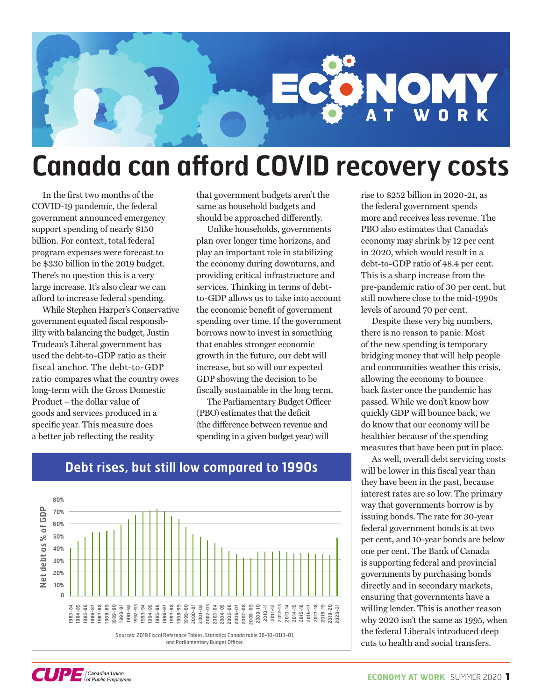

## **Canada can afford COVID recovery costs**

In the first two months of the COVID-19 pandemic, the federal government announced emergency support spending of nearly \$150 billion. For context, total federal program expenses were forecast to be \$330 billion in the 2019 budget. There's no question this is a very large increase. It's also clear we can afford to increase federal spending.

While Stephen Harper's Conservative government equated fiscal responsibility with balancing the budget, Justin Trudeau's Liberal government has used the debt-to-GDP ratio as their fiscal anchor. The debt-to-GDP ratio compares what the country owes long-term with the Gross Domestic Product – the dollar value of goods and services produced in a specific year. This measure does a better job reflecting the reality

that government budgets aren't the same as household budgets and should be approached differently.

Unlike households, governments plan over longer time horizons, and play an important role in stabilizing the economy during downturns, and providing critical infrastructure and services. Thinking in terms of debtto-GDP allows us to take into account the economic benefit of government spending over time. If the government borrows now to invest in something that enables stronger economic growth in the future, our debt will increase, but so will our expected GDP showing the decision to be fiscally sustainable in the long term.

The Parliamentary Budget Officer (PBO) estimates that the deficit (the difference between revenue and spending in a given budget year) will

rise to \$252 billion in 2020-21, as the federal government spends more and receives less revenue. The PBO also estimates that Canada's economy may shrink by 12 per cent in 2020, which would result in a debt-to-GDP ratio of 48.4 per cent. This is a sharp increase from the pre-pandemic ratio of 30 per cent, but still nowhere close to the mid-1990s levels of around 70 per cent.

Despite these very big numbers, there is no reason to panic. Most of the new spending is temporary bridging money that will help people and communities weather this crisis, allowing the economy to bounce back faster once the pandemic has passed. While we don't know how quickly GDP will bounce back, we do know that our economy will be healthier because of the spending measures that have been put in place.

As well, overall debt servicing costs will be lower in this fiscal year than they have been in the past, because interest rates are so low. The primary way that governments borrow is by issuing bonds. The rate for 30-year federal government bonds is at two per cent, and 10-year bonds are below one per cent. The Bank of Canada is supporting federal and provincial governments by purchasing bonds directly and in secondary markets, ensuring that governments have a willing lender. This is another reason why 2020 isn't the same as 1995, when the federal Liberals introduced deep cuts to health and social transfers.



### **Debt rises, but still low compared to 1990s**

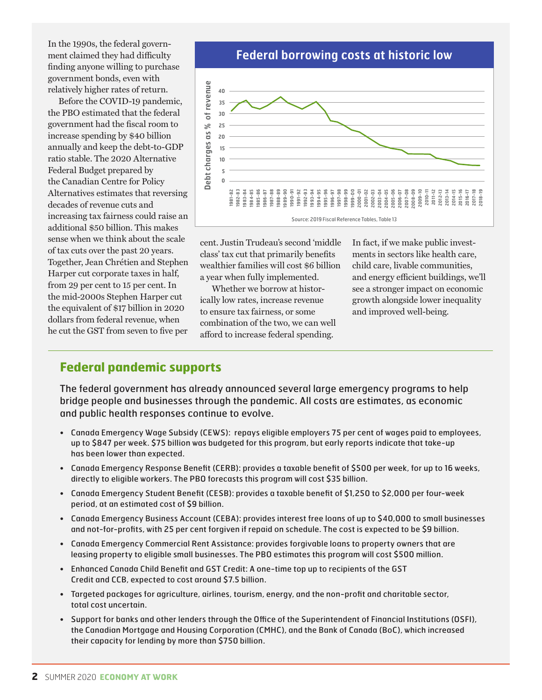In the 1990s, the federal government claimed they had difficulty finding anyone willing to purchase government bonds, even with relatively higher rates of return.

Before the COVID-19 pandemic, the PBO estimated that the federal government had the fiscal room to increase spending by \$40 billion annually and keep the debt-to-GDP ratio stable. The 2020 Alternative Federal Budget prepared by the Canadian Centre for Policy Alternatives estimates that reversing decades of revenue cuts and increasing tax fairness could raise an additional \$50 billion. This makes sense when we think about the scale of tax cuts over the past 20 years. Together, Jean Chrétien and Stephen Harper cut corporate taxes in half, from 29 per cent to 15 per cent. In the mid-2000s Stephen Harper cut the equivalent of \$17 billion in 2020 dollars from federal revenue, when he cut the GST from seven to five per

**Federal borrowing costs at historic low**



cent. Justin Trudeau's second 'middle class' tax cut that primarily benefits wealthier families will cost \$6 billion a year when fully implemented.

Whether we borrow at historically low rates, increase revenue to ensure tax fairness, or some combination of the two, we can well afford to increase federal spending.

In fact, if we make public investments in sectors like health care, child care, livable communities, and energy efficient buildings, we'll see a stronger impact on economic growth alongside lower inequality and improved well-being.

#### **Federal pandemic supports**

The federal government has already announced several large emergency programs to help bridge people and businesses through the pandemic. All costs are estimates, as economic and public health responses continue to evolve.

- Canada Emergency Wage Subsidy (CEWS): repays eligible employers 75 per cent of wages paid to employees, up to \$847 per week. \$75 billion was budgeted for this program, but early reports indicate that take-up has been lower than expected.
- Canada Emergency Response Benefit (CERB): provides a taxable benefit of \$500 per week, for up to 16 weeks, directly to eligible workers. The PBO forecasts this program will cost \$35 billion.
- Canada Emergency Student Benefit (CESB): provides a taxable benefit of \$1,250 to \$2,000 per four-week period, at an estimated cost of \$9 billion.
- Canada Emergency Business Account (CEBA): provides interest free loans of up to \$40,000 to small businesses and not-for-profits, with 25 per cent forgiven if repaid on schedule. The cost is expected to be \$9 billion.
- Canada Emergency Commercial Rent Assistance: provides forgivable loans to property owners that are leasing property to eligible small businesses. The PBO estimates this program will cost \$500 million.
- Enhanced Canada Child Benefit and GST Credit: A one-time top up to recipients of the GST Credit and CCB, expected to cost around \$7.5 billion.
- Targeted packages for agriculture, airlines, tourism, energy, and the non-profit and charitable sector, total cost uncertain.
- Support for banks and other lenders through the Office of the Superintendent of Financial Institutions (OSFI), the Canadian Mortgage and Housing Corporation (CMHC), and the Bank of Canada (BoC), which increased their capacity for lending by more than \$750 billion.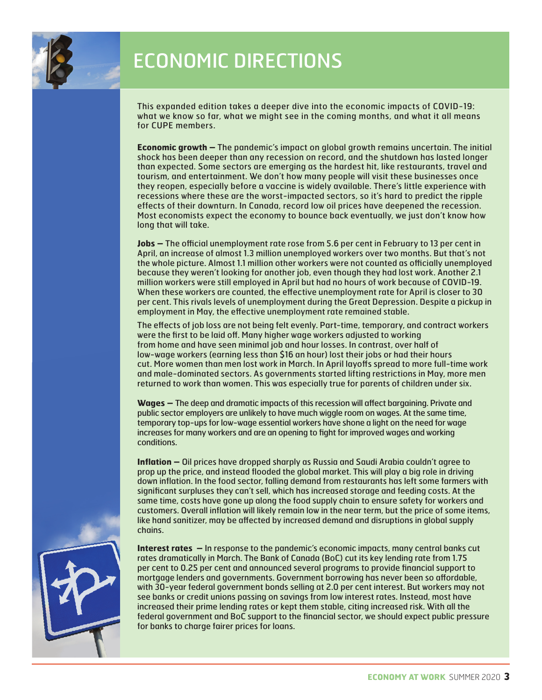

## ECONOMIC DIRECTIONS

This expanded edition takes a deeper dive into the economic impacts of COVID-19: what we know so far, what we might see in the coming months, and what it all means for CUPE members.

**Economic growth –** The pandemic's impact on global growth remains uncertain. The initial shock has been deeper than any recession on record, and the shutdown has lasted longer than expected. Some sectors are emerging as the hardest hit, like restaurants, travel and tourism, and entertainment. We don't how many people will visit these businesses once they reopen, especially before a vaccine is widely available. There's little experience with recessions where these are the worst-impacted sectors, so it's hard to predict the ripple effects of their downturn. In Canada, record low oil prices have deepened the recession. Most economists expect the economy to bounce back eventually, we just don't know how long that will take.

**Jobs -** The official unemployment rate rose from 5.6 per cent in February to 13 per cent in April, an increase of almost 1.3 million unemployed workers over two months. But that's not the whole picture. Almost 1.1 million other workers were not counted as officially unemployed because they weren't looking for another job, even though they had lost work. Another 2.1 million workers were still employed in April but had no hours of work because of COVID-19. When these workers are counted, the effective unemployment rate for April is closer to 30 per cent. This rivals levels of unemployment during the Great Depression. Despite a pickup in employment in May, the effective unemployment rate remained stable.

The effects of job loss are not being felt evenly. Part-time, temporary, and contract workers were the first to be laid off. Many higher wage workers adjusted to working from home and have seen minimal job and hour losses. In contrast, over half of low-wage workers (earning less than \$16 an hour) lost their jobs or had their hours cut. More women than men lost work in March. In April layoffs spread to more full-time work and male-dominated sectors. As governments started lifting restrictions in May, more men returned to work than women. This was especially true for parents of children under six.

Wages – The deep and dramatic impacts of this recession will affect bargaining. Private and public sector employers are unlikely to have much wiggle room on wages. At the same time, temporary top-ups for low-wage essential workers have shone a light on the need for wage increases for many workers and are an opening to fight for improved wages and working conditions.

**Inflation –** Oil prices have dropped sharply as Russia and Saudi Arabia couldn't agree to prop up the price, and instead flooded the global market. This will play a big role in driving down inflation. In the food sector, falling demand from restaurants has left some farmers with significant surpluses they can't sell, which has increased storage and feeding costs. At the same time, costs have gone up along the food supply chain to ensure safety for workers and customers. Overall inflation will likely remain low in the near term, but the price of some items, like hand sanitizer, may be affected by increased demand and disruptions in global supply chains.

**Interest rates –** In response to the pandemic's economic impacts, many central banks cut rates dramatically in March. The Bank of Canada (BoC) cut its key lending rate from 1.75 per cent to 0.25 per cent and announced several programs to provide financial support to mortgage lenders and governments. Government borrowing has never been so affordable, with 30-year federal government bonds selling at 2.0 per cent interest. But workers may not see banks or credit unions passing on savings from low interest rates. Instead, most have increased their prime lending rates or kept them stable, citing increased risk. With all the federal government and BoC support to the financial sector, we should expect public pressure for banks to charge fairer prices for loans.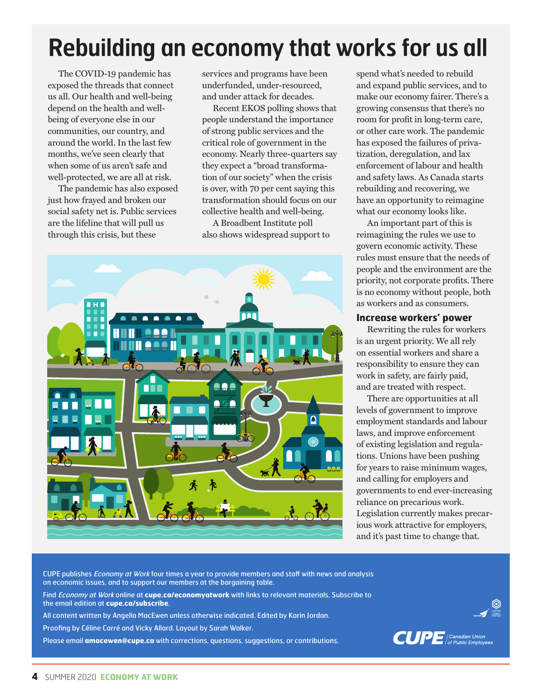# **Rebuilding an economy that works for us all**

The COVID-19 pandemic has exposed the threads that connect us all. Our health and well-being depend on the health and wellbeing of everyone else in our communities, our country, and around the world. In the last few months, we've seen clearly that when some of us aren't safe and well-protected, we are all at risk.

The pandemic has also exposed just how frayed and broken our social safety net is. Public services are the lifeline that will pull us through this crisis, but these

services and programs have been underfunded, under-resourced, and under attack for decades.

Recent EKOS polling shows that people understand the importance of strong public services and the critical role of government in the economy. Nearly three-quarters say they expect a "broad transformation of our society" when the crisis is over, with 70 per cent saying this transformation should focus on our collective health and well-being.

A Broadbent Institute poll also shows widespread support to



spend what's needed to rebuild and expand public services, and to make our economy fairer. There's a growing consensus that there's no room for profit in long-term care, or other care work. The pandemic has exposed the failures of privatization, deregulation, and lax enforcement of labour and health and safety laws. As Canada starts rebuilding and recovering, we have an opportunity to reimagine what our economy looks like.

An important part of this is reimagining the rules we use to govern economic activity. These rules must ensure that the needs of people and the environment are the priority, not corporate profits. There is no economy without people, both as workers and as consumers.

#### **Increase workers' power**

Rewriting the rules for workers is an urgent priority. We all rely on essential workers and share a responsibility to ensure they can work in safety, are fairly paid, and are treated with respect.

There are opportunities at all levels of government to improve employment standards and labour laws, and improve enforcement of existing legislation and regulations. Unions have been pushing for years to raise minimum wages, and calling for employers and governments to end ever-increasing reliance on precarious work. Legislation currently makes precarious work attractive for employers, and it's past time to change that.

CUPE publishes *Economy at Work* four times a year to provide members and staff with news and analysis on economic issues, and to support our members at the bargaining table.

Find Economy at Work online at **cupe.ca/economyatwork** with links to relevant materials. Subscribe to the email edition at **cupe.ca/subscribe**.

All content written by Angella MacEwen unless otherwise indicated. Edited by Karin Jordan.

Proofing by Céline Carré and Vicky Allard. Layout by Sarah Walker.

Please email **amacewen@cupe.ca** with corrections, questions, suggestions, or contributions.

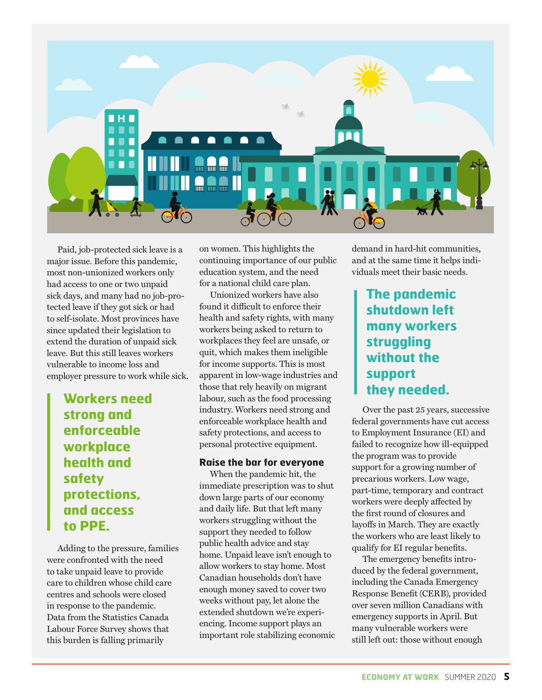

Paid, job-protected sick leave is a major issue. Before this pandemic, most non-unionized workers only had access to one or two unpaid sick days, and many had no job-protected leave if they got sick or had to self-isolate. Most provinces have since updated their legislation to extend the duration of unpaid sick leave. But this still leaves workers vulnerable to income loss and employer pressure to work while sick.

> **Workers need strong and enforceable workplace health and safety protections, and access to PPE.**

Adding to the pressure, families were confronted with the need to take unpaid leave to provide care to children whose child care centres and schools were closed in response to the pandemic. Data from the Statistics Canada Labour Force Survey shows that this burden is falling primarily

on women. This highlights the continuing importance of our public education system, and the need for a national child care plan.

Unionized workers have also found it difficult to enforce their health and safety rights, with many workers being asked to return to workplaces they feel are unsafe, or quit, which makes them ineligible for income supports. This is most apparent in low-wage industries and those that rely heavily on migrant labour, such as the food processing industry. Workers need strong and enforceable workplace health and safety protections, and access to personal protective equipment.

#### **Raise the bar for everyone**

When the pandemic hit, the immediate prescription was to shut down large parts of our economy and daily life. But that left many workers struggling without the support they needed to follow public health advice and stay home. Unpaid leave isn't enough to allow workers to stay home. Most Canadian households don't have enough money saved to cover two weeks without pay, let alone the extended shutdown we're experiencing. Income support plays an important role stabilizing economic demand in hard-hit communities, and at the same time it helps individuals meet their basic needs.

## **The pandemic shutdown left many workers struggling without the support they needed.**

Over the past 25 years, successive federal governments have cut access to Employment Insurance (EI) and failed to recognize how ill-equipped the program was to provide support for a growing number of precarious workers. Low wage, part-time, temporary and contract workers were deeply affected by the first round of closures and layoffs in March. They are exactly the workers who are least likely to qualify for EI regular benefits.

The emergency benefits introduced by the federal government, including the Canada Emergency Response Benefit (CERB), provided over seven million Canadians with emergency supports in April. But many vulnerable workers were still left out: those without enough